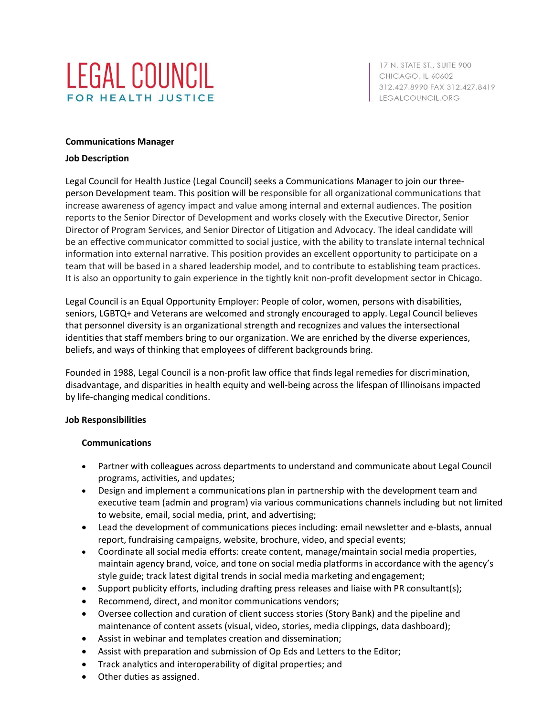

17 N. STATE ST., SUITE 900 CHICAGO, IL 60602 312.427.8990 FAX 312.427.8419 LEGALCOUNCIL.ORG

### **Communications Manager**

### **Job Description**

Legal Council for Health Justice (Legal Council) seeks a Communications Manager to join our threeperson Development team. This position will be responsible for all organizational communications that increase awareness of agency impact and value among internal and external audiences. The position reports to the Senior Director of Development and works closely with the Executive Director, Senior Director of Program Services, and Senior Director of Litigation and Advocacy. The ideal candidate will be an effective communicator committed to social justice, with the ability to translate internal technical information into external narrative. This position provides an excellent opportunity to participate on a team that will be based in a shared leadership model, and to contribute to establishing team practices. It is also an opportunity to gain experience in the tightly knit non-profit development sector in Chicago.

Legal Council is an Equal Opportunity Employer: People of color, women, persons with disabilities, seniors, LGBTQ+ and Veterans are welcomed and strongly encouraged to apply. Legal Council believes that personnel diversity is an organizational strength and recognizes and values the intersectional identities that staff members bring to our organization. We are enriched by the diverse experiences, beliefs, and ways of thinking that employees of different backgrounds bring.

Founded in 1988, Legal Council is a non-profit law office that finds legal remedies for discrimination, disadvantage, and disparities in health equity and well-being across the lifespan of Illinoisans impacted by life-changing medical conditions.

#### **Job Responsibilities**

# **Communications**

- Partner with colleagues across departments to understand and communicate about Legal Council programs, activities, and updates;
- Design and implement a communications plan in partnership with the development team and executive team (admin and program) via various communications channels including but not limited to website, email, social media, print, and advertising;
- Lead the development of communications pieces including: email newsletter and e-blasts, annual report, fundraising campaigns, website, brochure, video, and special events;
- Coordinate all social media efforts: create content, manage/maintain social media properties, maintain agency brand, voice, and tone on social media platforms in accordance with the agency's style guide; track latest digital trends in social media marketing and engagement;
- Support publicity efforts, including drafting press releases and liaise with PR consultant(s);
- Recommend, direct, and monitor communications vendors;
- Oversee collection and curation of client success stories (Story Bank) and the pipeline and maintenance of content assets (visual, video, stories, media clippings, data dashboard);
- Assist in webinar and templates creation and dissemination;
- Assist with preparation and submission of Op Eds and Letters to the Editor;
- Track analytics and interoperability of digital properties; and
- Other duties as assigned.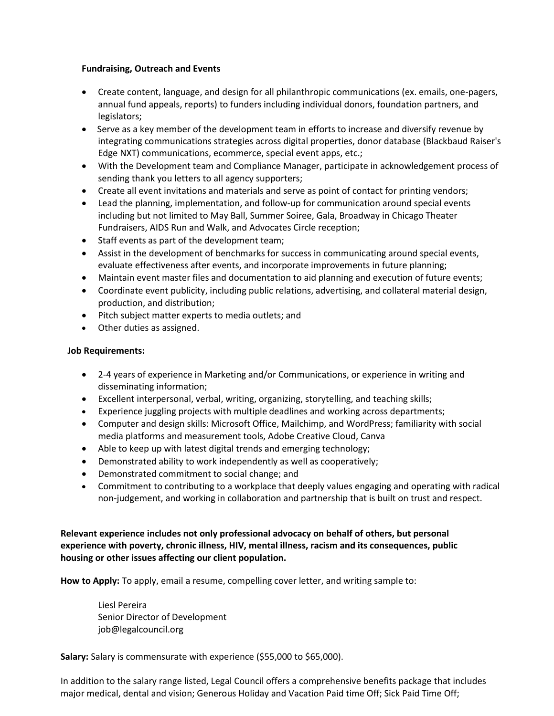# **Fundraising, Outreach and Events**

- Create content, language, and design for all philanthropic communications (ex. emails, one-pagers, annual fund appeals, reports) to funders including individual donors, foundation partners, and legislators;
- Serve as a key member of the development team in efforts to increase and diversify revenue by integrating communications strategies across digital properties, donor database (Blackbaud Raiser's Edge NXT) communications, ecommerce, special event apps, etc.;
- With the Development team and Compliance Manager, participate in acknowledgement process of sending thank you letters to all agency supporters;
- Create all event invitations and materials and serve as point of contact for printing vendors;
- Lead the planning, implementation, and follow-up for communication around special events including but not limited to May Ball, Summer Soiree, Gala, Broadway in Chicago Theater Fundraisers, AIDS Run and Walk, and Advocates Circle reception;
- Staff events as part of the development team;
- Assist in the development of benchmarks for success in communicating around special events, evaluate effectiveness after events, and incorporate improvements in future planning;
- Maintain event master files and documentation to aid planning and execution of future events;
- Coordinate event publicity, including public relations, advertising, and collateral material design, production, and distribution;
- Pitch subject matter experts to media outlets; and
- Other duties as assigned.

# **Job Requirements:**

- 2-4 years of experience in Marketing and/or Communications, or experience in writing and disseminating information;
- Excellent interpersonal, verbal, writing, organizing, storytelling, and teaching skills;
- Experience juggling projects with multiple deadlines and working across departments;
- Computer and design skills: Microsoft Office, Mailchimp, and WordPress; familiarity with social media platforms and measurement tools, Adobe Creative Cloud, Canva
- Able to keep up with latest digital trends and emerging technology;
- Demonstrated ability to work independently as well as cooperatively;
- Demonstrated commitment to social change; and
- Commitment to contributing to a workplace that deeply values engaging and operating with radical non-judgement, and working in collaboration and partnership that is built on trust and respect.

**Relevant experience includes not only professional advocacy on behalf of others, but personal experience with poverty, chronic illness, HIV, mental illness, racism and its consequences, public housing or other issues affecting our client population.**

**How to Apply:** To apply, email a resume, compelling cover letter, and writing sample to:

Liesl Pereira Senior Director of Development [job@legalcouncil.org](mailto:job@legalcouncil.org)

**Salary:** Salary is commensurate with experience (\$55,000 to \$65,000).

In addition to the salary range listed, Legal Council offers a comprehensive benefits package that includes major medical, dental and vision; Generous Holiday and Vacation Paid time Off; Sick Paid Time Off;